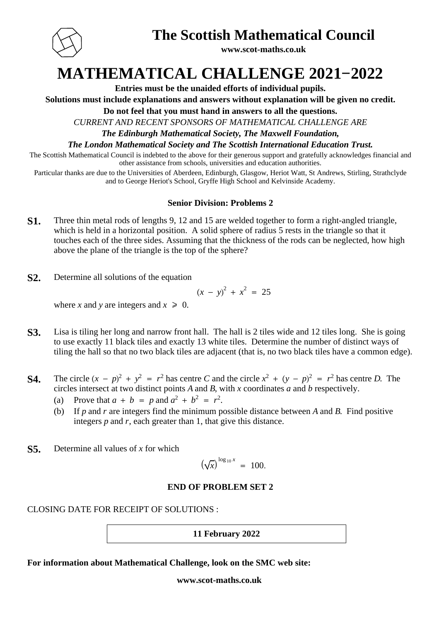

### **The Scottish Mathematical Council**

**www.scot-maths.co.uk**

# **MATHEMATICAL CHALLENGE 2021−2022**

**Entries must be the unaided efforts of individual pupils.**

**Solutions must include explanations and answers without explanation will be given no credit.**

**Do not feel that you must hand in answers to all the questions.**

*CURRENT AND RECENT SPONSORS OF MATHEMATICAL CHALLENGE ARE*

*The Edinburgh Mathematical Society, The Maxwell Foundation,*

*The London Mathematical Society and The Scottish International Education Trust.*

The Scottish Mathematical Council is indebted to the above for their generous support and gratefully acknowledges financial and other assistance from schools, universities and education authorities.

Particular thanks are due to the Universities of Aberdeen, Edinburgh, Glasgow, Heriot Watt, St Andrews, Stirling, Strathclyde and to George Heriot's School, Gryffe High School and Kelvinside Academy.

#### **Senior Division: Problems 2**

- **S1.** Three thin metal rods of lengths 9, 12 and 15 are welded together to form a right-angled triangle, which is held in a horizontal position. A solid sphere of radius 5 rests in the triangle so that it touches each of the three sides. Assuming that the thickness of the rods can be neglected, how high above the plane of the triangle is the top of the sphere?
- **S2.** Determine all solutions of the equation

$$
(x - y)^2 + x^2 = 25
$$

where *x* and *y* are integers and  $x \ge 0$ .

- **S3.** Lisa is tiling her long and narrow front hall. The hall is 2 tiles wide and 12 tiles long. She is going to use exactly 11 black tiles and exactly 13 white tiles. Determine the number of distinct ways of tiling the hall so that no two black tiles are adjacent (that is, no two black tiles have a common edge).
- **S4.** The circle  $(x p)^2 + y^2 = r^2$  has centre C and the circle  $x^2 + (y p)^2 = r^2$  has centre D. The circles intersect at two distinct points  $A$  and  $B$ , with  $x$  coordinates  $a$  and  $b$  respectively.
	- (a) Prove that  $a + b = p$  and  $a^2 + b^2 = r^2$ .
	- (b) If p and r are integers find the minimum possible distance between A and B. Find positive integers  $p$  and  $r$ , each greater than 1, that give this distance.
- **S5.** Determine all values of *x* for which

$$
(\sqrt{x})^{\log_{10} x} = 100.
$$

#### **END OF PROBLEM SET 2**

#### CLOSING DATE FOR RECEIPT OF SOLUTIONS :

#### **11 February 2022**

**For information about Mathematical Challenge, look on the SMC web site:**

#### **www.scot-maths.co.uk**